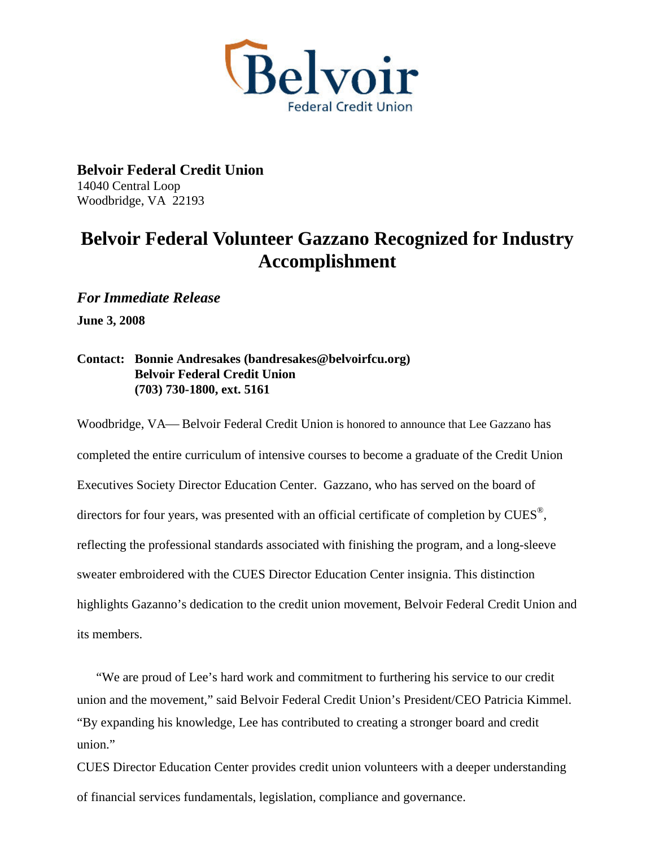

**Belvoir Federal Credit Union**  14040 Central Loop Woodbridge, VA 22193

## **Belvoir Federal Volunteer Gazzano Recognized for Industry Accomplishment**

*For Immediate Release* 

**June 3, 2008** 

## **Contact: Bonnie Andresakes (bandresakes@belvoirfcu.org) Belvoir Federal Credit Union (703) 730-1800, ext. 5161**

Woodbridge, VA— Belvoir Federal Credit Union is honored to announce that Lee Gazzano has completed the entire curriculum of intensive courses to become a graduate of the Credit Union Executives Society Director Education Center. Gazzano, who has served on the board of directors for four years, was presented with an official certificate of completion by  $\text{CUES}^{\circledast}$ , reflecting the professional standards associated with finishing the program, and a long-sleeve sweater embroidered with the CUES Director Education Center insignia. This distinction highlights Gazanno's dedication to the credit union movement, Belvoir Federal Credit Union and its members.

"We are proud of Lee's hard work and commitment to furthering his service to our credit union and the movement," said Belvoir Federal Credit Union's President/CEO Patricia Kimmel. "By expanding his knowledge, Lee has contributed to creating a stronger board and credit union."

CUES Director Education Center provides credit union volunteers with a deeper understanding of financial services fundamentals, legislation, compliance and governance.